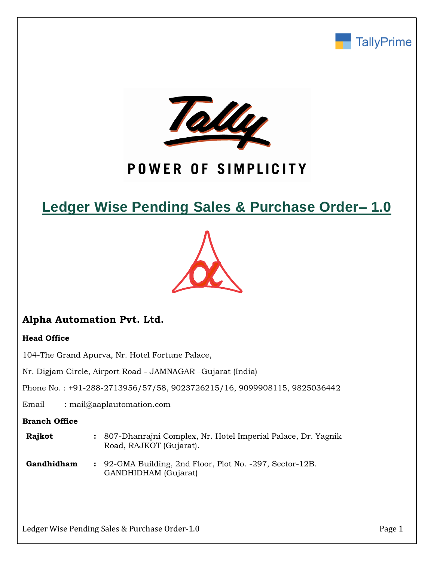



# POWER OF SIMPLICITY

# **Ledger Wise Pending Sales & Purchase Order– 1.0**



## **Alpha Automation Pvt. Ltd.**

## **Head Office**

104-The Grand Apurva, Nr. Hotel Fortune Palace,

Nr. Digjam Circle, Airport Road - JAMNAGAR –Gujarat (India)

Phone No. : +91-288-2713956/57/58, 9023726215/16, 9099908115, 9825036442

Email : mail@aaplautomation.com

### **Branch Office**

| Rajkot | : 807-Dhanrajni Complex, Nr. Hotel Imperial Palace, Dr. Yagnik |
|--------|----------------------------------------------------------------|
|        | Road, RAJKOT (Gujarat).                                        |

**Gandhidham :** 92-GMA Building, 2nd Floor, Plot No. -297, Sector-12B. GANDHIDHAM (Gujarat)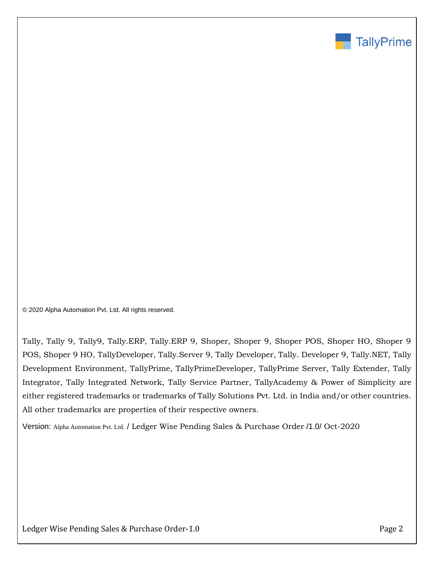

© 2020 Alpha Automation Pvt. Ltd. All rights reserved.

Tally, Tally 9, Tally9, Tally.ERP, Tally.ERP 9, Shoper, Shoper 9, Shoper POS, Shoper HO, Shoper 9 POS, Shoper 9 HO, TallyDeveloper, Tally.Server 9, Tally Developer, Tally. Developer 9, Tally.NET, Tally Development Environment, TallyPrime, TallyPrimeDeveloper, TallyPrime Server, Tally Extender, Tally Integrator, Tally Integrated Network, Tally Service Partner, TallyAcademy & Power of Simplicity are either registered trademarks or trademarks of Tally Solutions Pvt. Ltd. in India and/or other countries. All other trademarks are properties of their respective owners.

Version: Alpha Automation Pvt. Ltd. / Ledger Wise Pending Sales & Purchase Order /1.0/ Oct-2020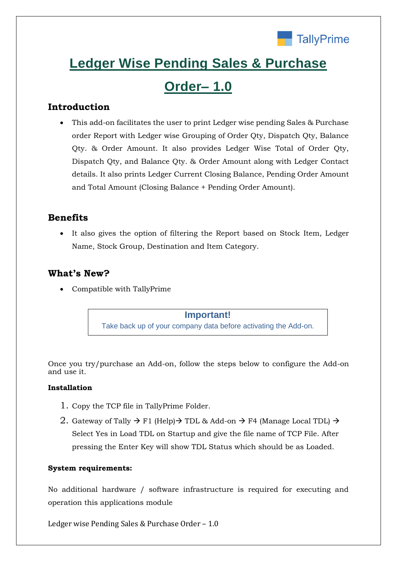

# **Ledger Wise Pending Sales & Purchase**

# **Order– 1.0**

## **Introduction**

• This add-on facilitates the user to print Ledger wise pending Sales & Purchase order Report with Ledger wise Grouping of Order Qty, Dispatch Qty, Balance Qty. & Order Amount. It also provides Ledger Wise Total of Order Qty, Dispatch Qty, and Balance Qty. & Order Amount along with Ledger Contact details. It also prints Ledger Current Closing Balance, Pending Order Amount and Total Amount (Closing Balance + Pending Order Amount).

## **Benefits**

• It also gives the option of filtering the Report based on Stock Item, Ledger Name, Stock Group, Destination and Item Category.

## **What's New?**

• Compatible with TallyPrime

### **Important!**

Take back up of your company data before activating the Add-on.

Once you try/purchase an Add-on, follow the steps below to configure the Add-on and use it.

### **Installation**

- 1. Copy the TCP file in TallyPrime Folder.
- 2. Gateway of Tally  $\rightarrow$  F1 (Help) $\rightarrow$  TDL & Add-on  $\rightarrow$  F4 (Manage Local TDL)  $\rightarrow$ Select Yes in Load TDL on Startup and give the file name of TCP File. After pressing the Enter Key will show TDL Status which should be as Loaded.

### **System requirements:**

No additional hardware / software infrastructure is required for executing and operation this applications module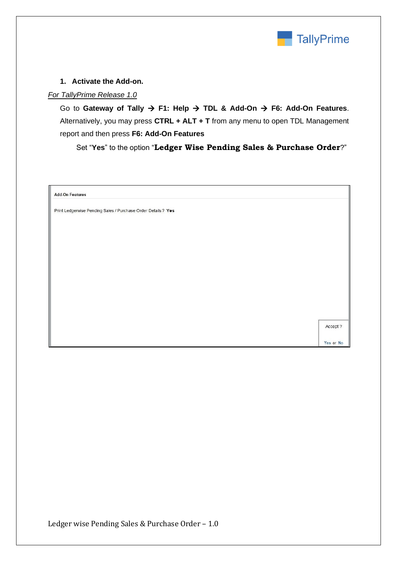

### **1. Activate the Add-on.**

### *For TallyPrime Release 1.0*

Go to **Gateway of Tally** → **F1: Help** → **TDL & Add-On** → **F6: Add-On Features**. Alternatively, you may press **CTRL + ALT + T** from any menu to open TDL Management report and then press **F6: Add-On Features**

Set "**Yes**" to the option "**Ledger Wise Pending Sales & Purchase Order**?"

**Add-On Features** 

Print Ledgerwise Pending Sales / Purchase Order Details ? Yes

Accept ?

Yes or No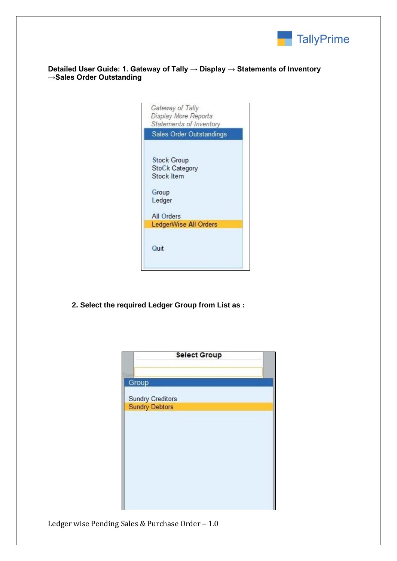

**Detailed User Guide: 1. Gateway of Tally → Display → Statements of Inventory →Sales Order Outstanding**

| Gateway of Tally<br>Display More Reports<br>Statements of Inventory   |
|-----------------------------------------------------------------------|
| Sales Order Outstandings                                              |
| <b>Stock Group</b><br>StoCk Category<br>Stock Item<br>Group<br>Ledger |
| All Orders                                                            |
| LedgerWise All Orders                                                 |
| Quit                                                                  |

**2. Select the required Ledger Group from List as :**

| <b>Select Group</b>                              |  |
|--------------------------------------------------|--|
| Group                                            |  |
|                                                  |  |
| <b>Sundry Creditors</b><br><b>Sundry Debtors</b> |  |
|                                                  |  |
|                                                  |  |
|                                                  |  |
|                                                  |  |
|                                                  |  |
|                                                  |  |
|                                                  |  |
|                                                  |  |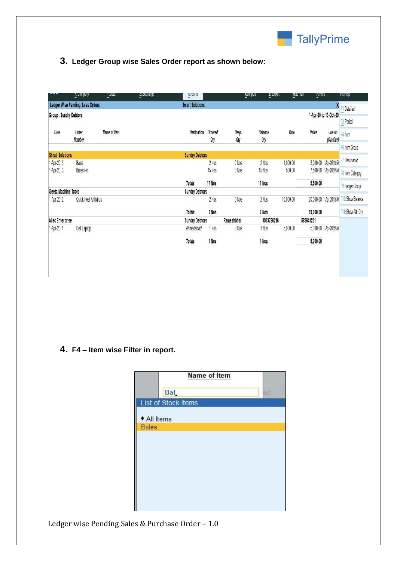

## **3. Ledger Group wise Sales Order report as shown below:**

|                              | V: combany                       | T:ngra               | <b>C.C.XCilalige</b> | $\frac{6}{10}$ ; 00 10 |                |              | O: linboit     | E: Export  | <b>MCC-Inan</b> | E:LIIII               |                         | FT. UGID               |
|------------------------------|----------------------------------|----------------------|----------------------|------------------------|----------------|--------------|----------------|------------|-----------------|-----------------------|-------------------------|------------------------|
|                              | Ledger Wise Pending Sales Orders |                      |                      | <b>Smart Solutions</b> |                |              |                |            |                 |                       | X                       | F1: Detailed           |
| <b>Group: Sundry Debtors</b> |                                  |                      |                      |                        |                |              |                |            |                 | 1-Apr-20 to 13-Oct-20 |                         |                        |
|                              |                                  |                      |                      |                        |                |              |                |            |                 |                       |                         | F <sub>2</sub> :Period |
| Date                         | Order<br>Number                  | Name of Item         |                      | <b>Destination</b>     | Ordered<br>Qty | Desp.<br>Qty | Balance<br>Qty |            | Rate            | Value                 | Due on<br>(OverDue)     | F4:Item                |
|                              |                                  |                      |                      |                        |                |              |                |            |                 |                       |                         | F6: Item Group         |
| <b>Shruti Solutions</b>      |                                  |                      |                      | <b>Sundry Debtors</b>  |                |              |                |            |                 |                       |                         | F7: Destination        |
| 1-Apr-20 3                   | <b>Bales</b>                     |                      |                      |                        | 2 Nos          | 0 Nos        | 2 Nos          |            | 1,000.00        |                       | 2,000.00 1-Apr-20(195)  |                        |
| 1-Apr-20 3                   | <b>Brass Pin</b>                 |                      |                      |                        | 15 Nos         | 0 Nos        | 15 Nos         |            | 500.00          |                       | 7,500.00 1-Apr-20(195)  | F8: Item Category      |
|                              |                                  |                      |                      | <b>Totals</b>          | 17 Nos         |              | 17 Nos         |            |                 | 9,500.00              |                         | F9: Ledger Group       |
| Geeta Machine Tools          |                                  |                      |                      | <b>Sundry Debtors</b>  |                |              |                |            |                 |                       |                         |                        |
| 1-Apr-20 2                   |                                  | Quick Heal Antivirus |                      |                        | 2 Nos          | 0 Nos        | 2 Nos          |            | 10,000.00       |                       | 20,000.00 1-Apr-20(195) | F10: Show Balance      |
|                              |                                  |                      |                      | <b>Totals</b>          | 2 Nos          |              | 2 Nos          |            |                 | 19,000.00             |                         | F11: Show Alt. Qty.    |
| <b>Allec Enterprise</b>      |                                  |                      |                      | <b>Sundry Debtors</b>  |                | Rameshbhai   |                | 9023726216 |                 | 589641231             |                         |                        |
| 1-Apr-20 1                   | Dell Laptop                      |                      |                      | Ahmedabad              | 1 Nos          | 0 Nos        | 1 Nos          |            | 5,000.00        |                       | 5,000.00 1-Apr-20(195)  |                        |
|                              |                                  |                      |                      | <b>Totals</b>          | 1 Nos          |              | 1 Nos          |            |                 | 5,000.00              |                         |                        |
|                              |                                  |                      |                      |                        |                |              |                |            |                 |                       |                         |                        |

**4. F4 – Item wise Filter in report.**

| Name of Item        |    |
|---------------------|----|
| <b>Bal</b>          | ed |
| List of Stock Items |    |
| • All Items         |    |
| <b>Bales</b>        |    |
|                     |    |
|                     |    |
|                     |    |
|                     |    |
|                     |    |
|                     |    |
|                     |    |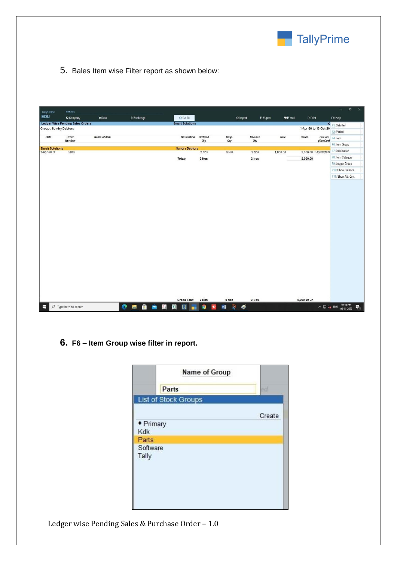

5. Bales Item wise Filter report as shown below:

|                                       |                                         |              |              |  |   |                        |                |           |                            |           |                |           |                        |                     | $\times$<br>$\sigma$<br>-                                                                 |
|---------------------------------------|-----------------------------------------|--------------|--------------|--|---|------------------------|----------------|-----------|----------------------------|-----------|----------------|-----------|------------------------|---------------------|-------------------------------------------------------------------------------------------|
| TallyPrime<br><b>EDU</b>              | <b>MANAGE</b><br>K: Company             | Y: Data      | Z: Exchange  |  |   | G: Go To               |                |           |                            | O: Import | E: Export      | M: E-mail | P:Print                |                     | F1: Help                                                                                  |
|                                       | <b>Ledger Wise Pending Sales Orders</b> |              |              |  |   | <b>Smart Solutions</b> |                |           |                            |           |                |           |                        |                     |                                                                                           |
| <b>Group: Sundry Debtors</b>          |                                         |              |              |  |   |                        |                |           |                            |           |                |           | 1-Apr-20 to 13-Oct-20  |                     | <b>X</b> F1: Detailed<br>F2: Period                                                       |
| Date                                  | Order<br><b>Number</b>                  | Name of Item |              |  |   | <b>Destination</b>     | Ordered<br>Qty |           | Desp.<br>Qty               |           | Balance<br>Oty | Rate      | Value                  | Due on<br>(OverDue) | F4: Item                                                                                  |
|                                       |                                         |              |              |  |   |                        |                |           |                            |           |                |           |                        |                     | F6: Item Group                                                                            |
| <b>Shruti Solutions</b><br>1-Apr-20 3 | <b>Bales</b>                            |              |              |  |   | <b>Sundry Debtors</b>  | 2 Nos          |           | 0 Nos                      |           | 2 Nos          | 1,000.00  | 2,000.00 1-Apr-20(195) |                     | F7: Destination                                                                           |
|                                       |                                         |              |              |  |   | <b>Totals</b>          | 2 Nos          |           |                            |           | 2 Nos          |           | 2,000.00               |                     | F8: Item Category                                                                         |
|                                       |                                         |              |              |  |   |                        |                |           |                            |           |                |           |                        |                     | F9: Ledger Group                                                                          |
|                                       |                                         |              |              |  |   |                        |                |           |                            |           |                |           |                        |                     | F10: Show Balance                                                                         |
|                                       |                                         |              |              |  |   |                        |                |           |                            |           |                |           |                        |                     | F11: Show Alt. Qty.                                                                       |
|                                       |                                         |              |              |  |   |                        |                |           |                            |           |                |           |                        |                     |                                                                                           |
|                                       |                                         |              |              |  |   |                        |                |           |                            |           |                |           |                        |                     |                                                                                           |
|                                       |                                         |              |              |  |   |                        |                |           |                            |           |                |           |                        |                     |                                                                                           |
|                                       |                                         |              |              |  |   |                        |                |           |                            |           |                |           |                        |                     |                                                                                           |
|                                       |                                         |              |              |  |   |                        |                |           |                            |           |                |           |                        |                     |                                                                                           |
|                                       |                                         |              |              |  |   |                        |                |           |                            |           |                |           |                        |                     |                                                                                           |
|                                       |                                         |              |              |  |   |                        |                |           |                            |           |                |           |                        |                     |                                                                                           |
|                                       |                                         |              |              |  |   |                        |                |           |                            |           |                |           |                        |                     |                                                                                           |
|                                       |                                         |              |              |  |   |                        |                |           |                            |           |                |           |                        |                     |                                                                                           |
|                                       |                                         |              |              |  |   |                        |                |           |                            |           |                |           |                        |                     |                                                                                           |
|                                       |                                         |              |              |  |   |                        |                |           |                            |           |                |           |                        |                     |                                                                                           |
|                                       |                                         |              |              |  |   |                        |                |           |                            |           |                |           |                        |                     |                                                                                           |
|                                       |                                         |              |              |  |   |                        |                |           |                            |           |                |           |                        |                     |                                                                                           |
|                                       |                                         |              |              |  |   |                        |                |           |                            |           |                |           |                        |                     |                                                                                           |
|                                       |                                         |              |              |  |   |                        |                |           |                            |           |                |           |                        |                     |                                                                                           |
|                                       |                                         |              |              |  |   | <b>Grand Total</b>     | 2 Nos          |           | 0 Nos                      |           | 2 Nos          |           | 2,000.00 Cr            |                     |                                                                                           |
| $\blacksquare$                        | $O$ Type here to search                 |              | <b>CHAAH</b> |  | 圈 | $\boxed{5}$<br>п       | 9              | $\bullet$ | $\mathbb{R}$<br>$W \equiv$ | ø         |                |           |                        |                     | $\sim$ $\frac{1}{2}$ d <sub>*</sub> ENG $\frac{04:45 \text{ PM}}{03 \cdot 11 \cdot 2020}$ |

**6. F6 – Item Group wise filter in report.**

|                   | Name of Group        |        |
|-------------------|----------------------|--------|
|                   | Parts                | $-0$   |
|                   | List of Stock Groups |        |
|                   |                      | Create |
| • Primary         |                      |        |
| Kdk               |                      |        |
| Parts             |                      |        |
| Software<br>Tally |                      |        |
|                   |                      |        |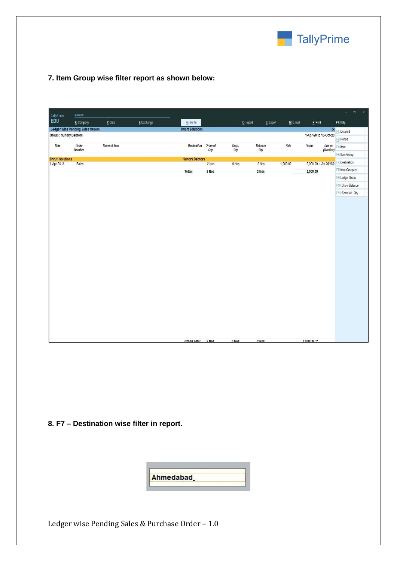

## **7. Item Group wise filter report as shown below:**

| K: Company<br>Y: Data<br>Z: Exchange<br>G: Go To<br>$M: E-mail$<br>$Q:$ Import<br>E:Export<br>Ledger Wise Pending Sales Orders<br><b>Smart Solutions</b><br><b>Group: Sundry Debtors</b><br>Order<br>Name of Item<br>Destination Ordered<br>Desp.<br>Balance<br>Rate<br>Value<br>Date<br><b>Number</b><br>Qty<br>Qty<br>Qty<br><b>Shruti Solutions</b><br><b>Sundry Debtors</b><br>1-Apr-20 3<br>0 Nos<br>1,000.00<br><b>Bales</b><br>2 Nos<br>2 Nos<br>2 Nos<br>2 Nos<br>2,000.00<br><b>Totals</b> | TallyPrime | <b>MANAGE</b> |  |  |  |                        | $\sigma$<br>$\times$<br>$\overline{a}$ |
|-----------------------------------------------------------------------------------------------------------------------------------------------------------------------------------------------------------------------------------------------------------------------------------------------------------------------------------------------------------------------------------------------------------------------------------------------------------------------------------------------------|------------|---------------|--|--|--|------------------------|----------------------------------------|
|                                                                                                                                                                                                                                                                                                                                                                                                                                                                                                     | EDU        |               |  |  |  | P:Print                | F1: Help                               |
|                                                                                                                                                                                                                                                                                                                                                                                                                                                                                                     |            |               |  |  |  |                        | <b>X</b> F1: Detailed                  |
|                                                                                                                                                                                                                                                                                                                                                                                                                                                                                                     |            |               |  |  |  | 1-Apr-20 to 13-Oct-20  | F2: Period                             |
|                                                                                                                                                                                                                                                                                                                                                                                                                                                                                                     |            |               |  |  |  |                        | Due on F4: Item                        |
|                                                                                                                                                                                                                                                                                                                                                                                                                                                                                                     |            |               |  |  |  | (OverDue)              | F6: Item Group                         |
|                                                                                                                                                                                                                                                                                                                                                                                                                                                                                                     |            |               |  |  |  | 2,000.00 1-Apr-20(195) | F7: Destination                        |
|                                                                                                                                                                                                                                                                                                                                                                                                                                                                                                     |            |               |  |  |  |                        | F8: Item Category                      |
|                                                                                                                                                                                                                                                                                                                                                                                                                                                                                                     |            |               |  |  |  |                        | F9: Ledger Group                       |
|                                                                                                                                                                                                                                                                                                                                                                                                                                                                                                     |            |               |  |  |  |                        | F10: Show Balance                      |
|                                                                                                                                                                                                                                                                                                                                                                                                                                                                                                     |            |               |  |  |  |                        | F11: Show Alt. Qty.                    |
|                                                                                                                                                                                                                                                                                                                                                                                                                                                                                                     |            |               |  |  |  |                        |                                        |

## **8. F7 – Destination wise filter in report.**

| Ahmedabad |  |
|-----------|--|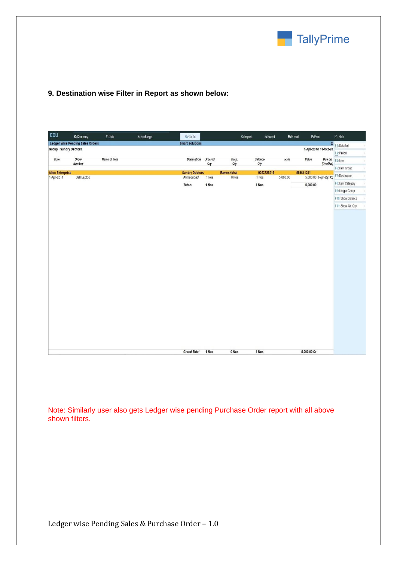

## **9. Destination wise Filter in Report as shown below:**

| EDU                          | K: Company                              | Y: Data      | Z: Exchange | $G:Go$ To              |                |            | E: Export<br>O: Import | M: E-mail | P: Print               |           | F1: Help            |
|------------------------------|-----------------------------------------|--------------|-------------|------------------------|----------------|------------|------------------------|-----------|------------------------|-----------|---------------------|
|                              | <b>Ledger Wise Pending Sales Orders</b> |              |             | <b>Smart Solutions</b> |                |            |                        |           |                        |           | K F1: Detailed      |
| <b>Group: Sundry Debtors</b> |                                         |              |             |                        |                |            |                        |           | 1-Apr-20 to 13-Oct-20  |           | F2: Period          |
| Date                         | Order<br>Number                         | Name of Item |             | <b>Destination</b>     | Ordered<br>Qty | Desp.      | Balance                | Rate      | Value                  | (OverDue) | Due on F4: Item     |
|                              |                                         |              |             |                        |                | Qty        | Qty                    |           |                        |           | F6: Item Group      |
| <b>Allec Enterprise</b>      |                                         |              |             | <b>Sundry Debtors</b>  |                | Rameshbhai | 9023726216             |           | 589641231              |           | F7: Destination     |
| 1-Apr-20 1                   | Dell Laptop                             |              |             | Ahmedabad              | 1 Nos          | 0 Nos      | 1 Nos                  | 5,000.00  | 5,000.00 1-Apr-20(195) |           |                     |
|                              |                                         |              |             | Totals                 | 1 Nos          |            | 1 Nos                  |           | 5,000.00               |           | F8: Item Category   |
|                              |                                         |              |             |                        |                |            |                        |           |                        |           | F9: Ledger Group    |
|                              |                                         |              |             |                        |                |            |                        |           |                        |           | F10: Show Balance   |
|                              |                                         |              |             |                        |                |            |                        |           |                        |           | F11: Show Alt. Qty. |
|                              |                                         |              |             |                        |                |            |                        |           |                        |           |                     |
|                              |                                         |              |             | <b>Grand Total</b>     | 1 Nos          | 0 Nos      | 1 Nos                  |           | 5,000.00 Cr            |           |                     |

Note: Similarly user also gets Ledger wise pending Purchase Order report with all above shown filters.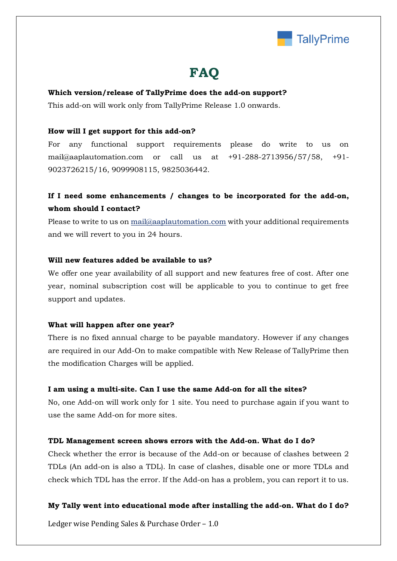

## **FAQ**

#### **Which version/release of TallyPrime does the add-on support?**

This add-on will work only from TallyPrime Release 1.0 onwards.

#### **How will I get support for this add-on?**

For any functional support requirements please do write to us on mail@aaplautomation.com or call us at +91-288-2713956/57/58, +91- 9023726215/16, 9099908115, 9825036442.

## **If I need some enhancements / changes to be incorporated for the add-on, whom should I contact?**

Please to write to us on mail@aaplautomation.com with your additional requirements and we will revert to you in 24 hours.

#### **Will new features added be available to us?**

We offer one year availability of all support and new features free of cost. After one year, nominal subscription cost will be applicable to you to continue to get free support and updates.

#### **What will happen after one year?**

There is no fixed annual charge to be payable mandatory. However if any changes are required in our Add-On to make compatible with New Release of TallyPrime then the modification Charges will be applied.

#### **I am using a multi-site. Can I use the same Add-on for all the sites?**

No, one Add-on will work only for 1 site. You need to purchase again if you want to use the same Add-on for more sites.

#### **TDL Management screen shows errors with the Add-on. What do I do?**

Check whether the error is because of the Add-on or because of clashes between 2 TDLs (An add-on is also a TDL). In case of clashes, disable one or more TDLs and check which TDL has the error. If the Add-on has a problem, you can report it to us.

#### **My Tally went into educational mode after installing the add-on. What do I do?**